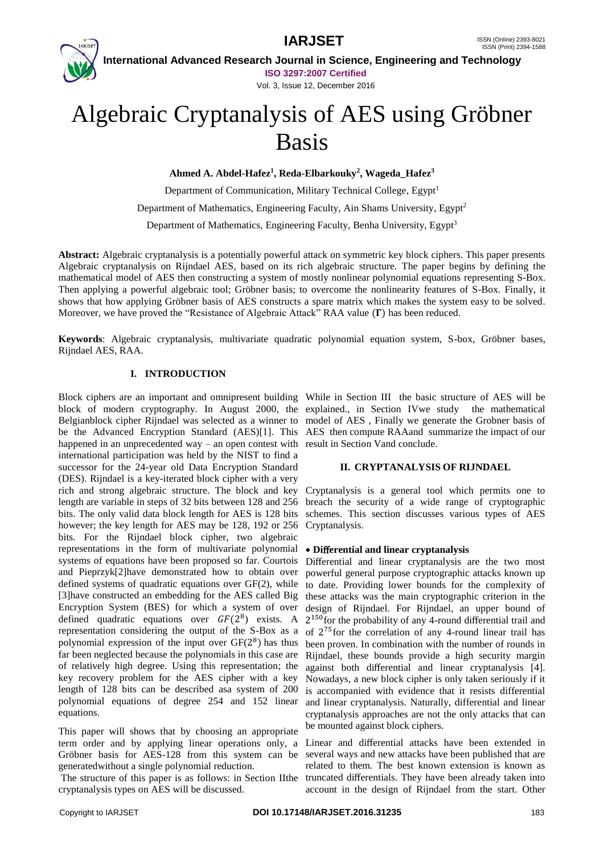

Vol. 3, Issue 12, December 2016

# Algebraic Cryptanalysis of AES using Gröbner Basis

**Ahmed A. Abdel-Hafez<sup>1</sup> , Reda-Elbarkouky<sup>2</sup> , Wageda\_Hafez<sup>3</sup>**

Department of Communication, Military Technical College, Egypt<sup>1</sup>

Department of Mathematics, Engineering Faculty, Ain Shams University, Egypt<sup>2</sup>

Department of Mathematics, Engineering Faculty, Benha University, Egypt<sup>3</sup>

**Abstract:** Algebraic cryptanalysis is a potentially powerful attack on symmetric key block ciphers. This paper presents Algebraic cryptanalysis on Rijndael AES, based on its rich algebraic structure. The paper begins by defining the mathematical model of AES then constructing a system of mostly nonlinear polynomial equations representing S-Box. Then applying a powerful algebraic tool; Gröbner basis; to overcome the nonlinearity features of S-Box. Finally, it shows that how applying Gröbner basis of AES constructs a spare matrix which makes the system easy to be solved. Moreover, we have proved the "Resistance of Algebraic Attack" RAA value  $(\Gamma)$  has been reduced.

**Keywords**: Algebraic cryptanalysis, multivariate quadratic polynomial equation system, S-box, Gröbner bases, Rijndael AES, RAA.

# **I. INTRODUCTION**

Block ciphers are an important and omnipresent building While in Section III the basic structure of AES will be block of modern cryptography. In August 2000, the explained., in Section IVwe study the mathematical Belgianblock cipher Rijndael was selected as a winner to model of AES , Finally we generate the Grobner basis of be the Advanced Encryption Standard (AES)[1]. This AES then compute RAAand summarize the impact of our happened in an unprecedented way – an open contest with result in Section Vand conclude. international participation was held by the NIST to find a successor for the 24-year old Data Encryption Standard (DES). Rijndael is a key-iterated block cipher with a very rich and strong algebraic structure. The block and key length are variable in steps of 32 bits between 128 and 256 bits. The only valid data block length for AES is 128 bits however; the key length for AES may be 128, 192 or 256 bits. For the Rijndael block cipher, two algebraic representations in the form of multivariate polynomial **Di**ff**erential and linear cryptanalysis** systems of equations have been proposed so far. Courtois Differential and linear cryptanalysis are the two most and Pieprzyk[2]have demonstrated how to obtain over powerful general purpose cryptographic attacks known up defined systems of quadratic equations over GF(2), while to date. Providing lower bounds for the complexity of [3]have constructed an embedding for the AES called Big Encryption System (BES) for which a system of over defined quadratic equations over  $GF(2^8)$  exists. A representation considering the output of the S-Box as a polynomial expression of the input over  $GF(2^8)$  has thus far been neglected because the polynomials in this case are of relatively high degree. Using this representation; the key recovery problem for the AES cipher with a key length of 128 bits can be described asa system of 200 polynomial equations of degree 254 and 152 linear equations.

This paper will shows that by choosing an appropriate term order and by applying linear operations only, a Gröbner basis for AES-128 from this system can be generatedwithout a single polynomial reduction.

cryptanalysis types on AES will be discussed.

# **II. CRYPTANALYSIS OF RIJNDAEL**

Cryptanalysis is a general tool which permits one to breach the security of a wide range of cryptographic schemes. This section discusses various types of AES Cryptanalysis.

these attacks was the main cryptographic criterion in the design of Rijndael. For Rijndael, an upper bound of 2 <sup>150</sup>for the probability of any 4-round differential trail and of 2 <sup>75</sup>for the correlation of any 4-round linear trail has been proven. In combination with the number of rounds in Rijndael, these bounds provide a high security margin against both differential and linear cryptanalysis [4]. Nowadays, a new block cipher is only taken seriously if it is accompanied with evidence that it resists differential and linear cryptanalysis. Naturally, differential and linear cryptanalysis approaches are not the only attacks that can be mounted against block ciphers.

The structure of this paper is as follows: in Section IIthe truncated differentials. They have been already taken into Linear and differential attacks have been extended in several ways and new attacks have been published that are related to them. The best known extension is known as account in the design of Rijndael from the start. Other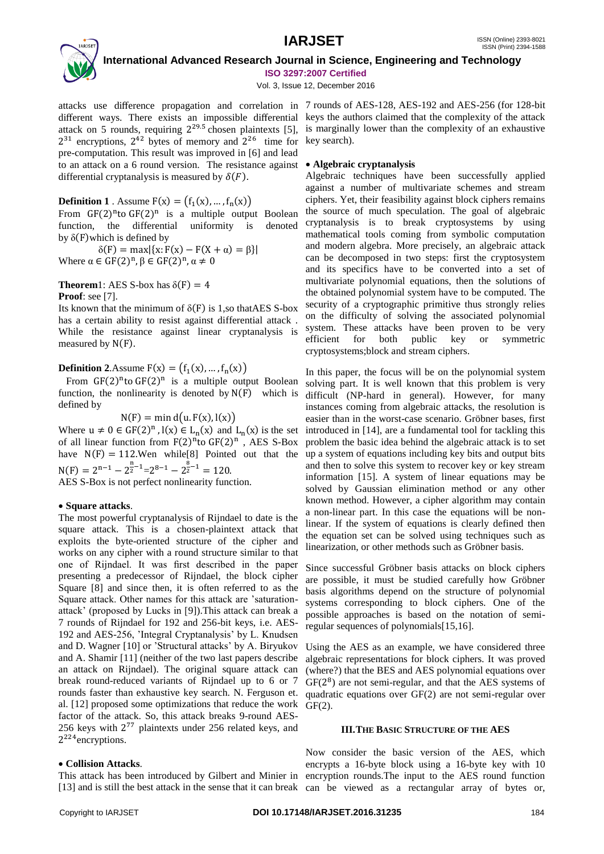

Vol. 3, Issue 12, December 2016

attacks use difference propagation and correlation in 7 rounds of AES-128, AES-192 and AES-256 (for 128-bit different ways. There exists an impossible differential keys the authors claimed that the complexity of the attack attack on 5 rounds, requiring  $2^{29.5}$  chosen plaintexts [5], is marginally lower than the complexity of an exhaustive  $2^{31}$  encryptions,  $2^{42}$  bytes of memory and  $2^{26}$  time for key search). pre-computation. This result was improved in [6] and lead to an attack on a 6 round version. The resistance against **Algebraic cryptanalysis** differential cryptanalysis is measured by  $\delta(F)$ .

# **Definition 1** . Assume  $F(x) = (f_1(x), ..., f_n(x))$

From  $GF(2)^n$ to  $GF(2)^n$  is a multiple output Boolean function, the differential uniformity is denoted by  $\delta$ (F)which is defined by

 $\delta(F) = \max\{x: F(x) - F(X + \alpha) = \beta\}$ Where  $\alpha \in GF(2)^n, \beta \in GF(2)^n, \alpha \neq 0$ 

## **Theorem1:** AES S-box has  $\delta(F) = 4$ **Proof**: see [7].

Its known that the minimum of  $\delta(F)$  is 1,so that AES S-box has a certain ability to resist against differential attack . While the resistance against linear cryptanalysis is measured by N(F).

**Definition 2.**Assume  $F(x) = (f_1(x), ..., f_n(x))$ 

From  $GF(2)^n$  to  $GF(2)^n$  is a multiple output Boolean function, the nonlinearity is denoted by  $N(F)$  which is defined by

 $N(F) = min d(u. F(x), l(x))$ 

Where  $u \neq 0 \in GF(2)^n$ ,  $l(x) \in L_n(x)$  and  $L_n(x)$  is the set of all linear function from  $F(2)^n$  to  $GF(2)^n$ , AES S-Box have  $N(F) = 112$ . Wen while [8] Pointed out that the  $N(F) = 2^{n-1} - 2^{\frac{n}{2}-1} = 2^{8-1} - 2^{\frac{8}{2}-1} = 120.$ 

AES S-Box is not perfect nonlinearity function.

# **Square attacks**.

The most powerful cryptanalysis of Rijndael to date is the square attack. This is a chosen-plaintext attack that exploits the byte-oriented structure of the cipher and works on any cipher with a round structure similar to that one of Rijndael. It was first described in the paper presenting a predecessor of Rijndael, the block cipher Square [8] and since then, it is often referred to as the Square attack. Other names for this attack are 'saturationattack' (proposed by Lucks in [9]).This attack can break a 7 rounds of Rijndael for 192 and 256-bit keys, i.e. AES-192 and AES-256, 'Integral Cryptanalysis' by L. Knudsen and D. Wagner [10] or 'Structural attacks' by A. Biryukov and A. Shamir [11] (neither of the two last papers describe an attack on Rijndael). The original square attack can break round-reduced variants of Rijndael up to 6 or 7 rounds faster than exhaustive key search. N. Ferguson et. al. [12] proposed some optimizations that reduce the work factor of the attack. So, this attack breaks 9-round AES-256 keys with 2 <sup>77</sup> plaintexts under 256 related keys, and 2<sup>224</sup> encryptions.

# **Collision Attacks**.

This attack has been introduced by Gilbert and Minier in encryption rounds.The input to the AES round function [13] and is still the best attack in the sense that it can break can be viewed as a rectangular array of bytes or,

Algebraic techniques have been successfully applied against a number of multivariate schemes and stream ciphers. Yet, their feasibility against block ciphers remains the source of much speculation. The goal of algebraic cryptanalysis is to break cryptosystems by using mathematical tools coming from symbolic computation and modern algebra. More precisely, an algebraic attack can be decomposed in two steps: first the cryptosystem and its specifics have to be converted into a set of multivariate polynomial equations, then the solutions of the obtained polynomial system have to be computed. The security of a cryptographic primitive thus strongly relies on the difficulty of solving the associated polynomial system. These attacks have been proven to be very efficient for both public key or symmetric cryptosystems;block and stream ciphers.

In this paper, the focus will be on the polynomial system solving part. It is well known that this problem is very difficult (NP-hard in general). However, for many instances coming from algebraic attacks, the resolution is easier than in the worst-case scenario. Gröbner bases, first introduced in [14], are a fundamental tool for tackling this problem the basic idea behind the algebraic attack is to set up a system of equations including key bits and output bits and then to solve this system to recover key or key stream information [15]. A system of linear equations may be solved by Gaussian elimination method or any other known method. However, a cipher algorithm may contain a non-linear part. In this case the equations will be nonlinear. If the system of equations is clearly defined then the equation set can be solved using techniques such as linearization, or other methods such as Gröbner basis.

Since successful Gröbner basis attacks on block ciphers are possible, it must be studied carefully how Gröbner basis algorithms depend on the structure of polynomial systems corresponding to block ciphers. One of the possible approaches is based on the notation of semiregular sequences of polynomials[15,16].

Using the AES as an example, we have considered three algebraic representations for block ciphers. It was proved (where?) that the BES and AES polynomial equations over GF(2 8 ) are not semi-regular, and that the AES systems of quadratic equations over GF(2) are not semi-regular over GF(2).

# **III.THE BASIC STRUCTURE OF THE AES**

Now consider the basic version of the AES, which encrypts a 16-byte block using a 16-byte key with 10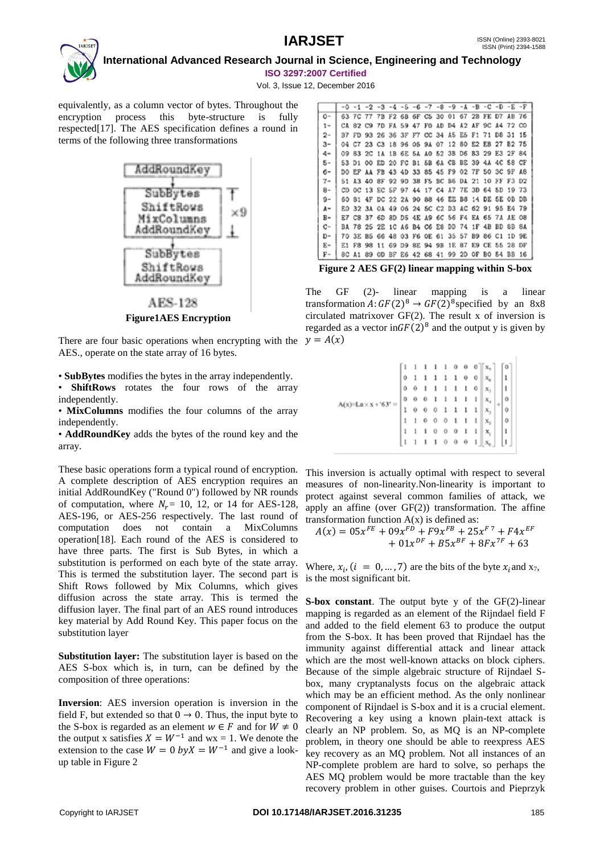

Vol. 3, Issue 12, December 2016

equivalently, as a column vector of bytes. Throughout the encryption process this byte-structure is fully respected[17]. The AES specification defines a round in terms of the following three transformations



AES-128 **Figure1AES Encryption**

There are four basic operations when encrypting with the  $y = A(x)$ AES., operate on the state array of 16 bytes.

• **SubBytes** modifies the bytes in the array independently.

• **ShiftRows** rotates the four rows of the array independently.

• **MixColumns** modifies the four columns of the array independently.

• **AddRoundKey** adds the bytes of the round key and the array.

These basic operations form a typical round of encryption. A complete description of AES encryption requires an initial AddRoundKey ("Round 0") followed by NR rounds of computation, where  $N_r$  = 10, 12, or 14 for AES-128, AES-196, or AES-256 respectively. The last round of computation does not contain a MixColumns operation[18]. Each round of the AES is considered to have three parts. The first is Sub Bytes, in which a substitution is performed on each byte of the state array. This is termed the substitution layer. The second part is Shift Rows followed by Mix Columns, which gives diffusion across the state array. This is termed the diffusion layer. The final part of an AES round introduces key material by Add Round Key. This paper focus on the substitution layer

**Substitution layer:** The substitution layer is based on the AES S-box which is, in turn, can be defined by the composition of three operations:

**Inversion**: AES inversion operation is inversion in the field F, but extended so that  $0 \rightarrow 0$ . Thus, the input byte to the S-box is regarded as an element  $w \in F$  and for  $W \neq 0$ the output x satisfies  $X = W^{-1}$  and wx = 1. We denote the extension to the case  $W = 0$   $byX = W^{-1}$  and give a lookup table in Figure 2

|       |     |                                           | $-0$ -1 -2 -3 -4 -5 -6 -7 -8 -9 -A -B -C -D -E -F |  |  |  |  |                                        |    |    |
|-------|-----|-------------------------------------------|---------------------------------------------------|--|--|--|--|----------------------------------------|----|----|
| 0-    |     |                                           | 63 7C 77 7B F2 6B 6F C5 30 01 67 2B FE D7 AB 76   |  |  |  |  |                                        |    |    |
| $1 -$ |     |                                           | CA 82 C9 7D FA 59 47 FO AD D4 A2 AF 9C A4 72 CO   |  |  |  |  |                                        |    |    |
| $2 -$ |     |                                           | B7 FD 93 26 36 3F F7 CC 34 A5 E5 F1 71 D8 31 15   |  |  |  |  |                                        |    |    |
| $3-$  | 04  |                                           | C7 23 C3 18 96 05 9A 07 12 80 E2 EB 27 B2 75      |  |  |  |  |                                        |    |    |
| $4-$  | 09. |                                           | 83 2C 1A 1B 6E 5A AO 52 3B D6 B3 29 E3 2F 84      |  |  |  |  |                                        |    |    |
| $5-$  |     |                                           | 53 D1 00 ED 20 FC B1 5B 6A CB BE 39 4A 4C 58 CF   |  |  |  |  |                                        |    |    |
| $6-$  |     |                                           | DO EF AA FB 43 4D 33 85 45 F9 02 7F 50 3C 9F A8   |  |  |  |  |                                        |    |    |
| 7-    |     |                                           | 51 A3 40 8F 92 9D 38 F5 BC B6 DA 21 10 FF F3 D2   |  |  |  |  |                                        |    |    |
| $8-$  |     |                                           | CD OC 13 EC 5F 97 44 17 C4 A7 7E 3D 64 5D 19 73   |  |  |  |  |                                        |    |    |
| $9-$  |     |                                           | 60 81 4F DC 22 2A 90 88 46 EE B8 14 DE 5E 0B DB   |  |  |  |  |                                        |    |    |
| $A -$ |     |                                           | EO 32 3A OA 49 O6 24 5C C2 D3 AC 62 91 95 E4 79   |  |  |  |  |                                        |    |    |
| $B -$ |     |                                           | E7 C8 37 6D 8D D5 4E A9 6C 56 F4 EA 65 7A AE 08   |  |  |  |  |                                        |    |    |
| $c-$  |     |                                           | BA 78 25 2E 1C A6 B4 C6 E8 DD 74 1F 4B BD 8B 8A   |  |  |  |  |                                        |    |    |
| D-    |     |                                           | 70 3E B5 66 48 03 F6 0E 61 35 57 B9 86 C1 1D 9E   |  |  |  |  |                                        |    |    |
| $E-$  |     | E1 F8 98                                  |                                                   |  |  |  |  | 11 69 D9 8E 94 9B 1E 87 E9 CE 55 28 DF |    |    |
| F-    |     | 8C A1 89 OD BF E6 42 68 41 99 2D OF BO 54 |                                                   |  |  |  |  |                                        | BB | 16 |

**Figure 2 AES GF(2) linear mapping within S-box**

The GF (2)- linear mapping is a linear transformation  $A: GF(2)^8 \to GF(2)^8$  specified by an 8x8 circulated matrixover GF(2). The result x of inversion is regarded as a vector in  $GF(2)^8$  and the output y is given by

|                    |   |   |          |   |                                                             |                          | $\begin{bmatrix} 1 & 1 & 1 & 1 & 1 & 0 & 0 & 0 \\ 0 & 1 & 1 & 1 & 1 & 1 & 0 & 0 \\ \end{bmatrix} \begin{bmatrix} x_7 \\ x_8 \end{bmatrix} \begin{bmatrix} 0 \\ 1 \end{bmatrix}$ |                                                                                            |                      |
|--------------------|---|---|----------|---|-------------------------------------------------------------|--------------------------|---------------------------------------------------------------------------------------------------------------------------------------------------------------------------------|--------------------------------------------------------------------------------------------|----------------------|
|                    |   |   | $1\quad$ |   | $1\quad1\quad0$                                             |                          |                                                                                                                                                                                 |                                                                                            |                      |
|                    |   | 0 |          |   |                                                             |                          |                                                                                                                                                                                 | $1 1 1 1 1 0$ $x_5$ $1$                                                                    |                      |
| $A(x)=La \times x$ | 0 |   |          |   | $\begin{matrix} 0 & 0 & 1 & 1 & 1 & 1 & 1 & 1 \end{matrix}$ |                          |                                                                                                                                                                                 | $\left\Vert \mathbf{x}_{i}\right\Vert _{2}$ o                                              |                      |
|                    | ı |   |          |   | $0\quad 0\quad 0\quad 1\quad 1\quad 1\quad 1$               |                          |                                                                                                                                                                                 |                                                                                            | $\ddot{\phantom{0}}$ |
|                    |   |   |          |   | 1 1 0 0 0 1 1 1                                             |                          |                                                                                                                                                                                 | $\begin{bmatrix} x_2 \\ x_3 \\ x_4 \end{bmatrix}$ = $\begin{bmatrix} 0 \\ 1 \end{bmatrix}$ |                      |
|                    | ı |   |          |   | $1 \t0 \t0 \t0$                                             | $\overline{\phantom{0}}$ | $\mathbf{1}$                                                                                                                                                                    |                                                                                            |                      |
|                    |   |   | 1        | 1 | $0 \quad 0$                                                 | $\theta$                 | $\overline{1}$                                                                                                                                                                  |                                                                                            | h                    |

This inversion is actually optimal with respect to several measures of non-linearity.Non-linearity is important to protect against several common families of attack, we apply an affine (over GF(2)) transformation. The affine transformation function  $A(x)$  is defined as:

$$
A(x) = 05x^{FE} + 09x^{FD} + F9x^{FB} + 25x^{F7} + F4x^{EF} + 01x^{DF} + B5x^{BF} + 8Fx^{TF} + 63
$$

Where,  $x_i$ ,  $(i = 0, ..., 7)$  are the bits of the byte  $x_i$  and  $x_7$ , is the most significant bit.

**S-box constant**. The output byte y of the GF(2)-linear mapping is regarded as an element of the Rijndael field F and added to the field element 63 to produce the output from the S-box. It has been proved that Rijndael has the immunity against differential attack and linear attack which are the most well-known attacks on block ciphers. Because of the simple algebraic structure of Rijndael Sbox, many cryptanalysts focus on the algebraic attack which may be an efficient method. As the only nonlinear component of Rijndael is S-box and it is a crucial element. Recovering a key using a known plain-text attack is clearly an NP problem. So, as MQ is an NP-complete problem, in theory one should be able to reexpress AES key recovery as an MQ problem. Not all instances of an NP-complete problem are hard to solve, so perhaps the AES MQ problem would be more tractable than the key recovery problem in other guises. Courtois and Pieprzyk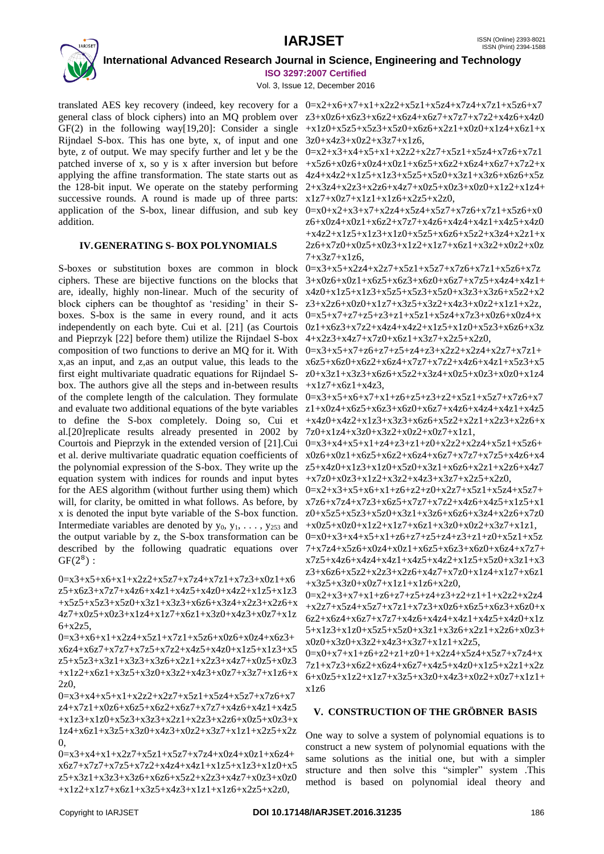

Vol. 3, Issue 12, December 2016

translated AES key recovery (indeed, key recovery for a  $0=x2+x6+x7+x1+x2z2+x5z1+x5z4+x7z4+x7z1+x5z6+x7$ general class of block ciphers) into an MQ problem over  $z3+x0z6+x6z3+x6z3+x6z4+x6z7+x7z7+x7z2+x4z6+x4z0$ GF(2) in the following way[19,20]: Consider a single  $+x1z0+x5z5+x5z3+x5z0+x6z6+x2z1+x0z0+x1z4+x6z1+x5z0+x1z0$ Rijndael S-box. This has one byte, x, of input and one 3z0+x4z3+x0z2+x3z7+x1z6, byte, z of output. We may specify further and let y be the  $0=x2+x3+x4+x5+x1+x2z2+x2z7+x5z1+x5z4+x7z6+x7z1$ patched inverse of x, so y is x after inversion but before  $+x5z6+x0z6+x0z4+x0z1+x6z5+x6z2+x6z4+x6z7+x7z2+x$ applying the affine transformation. The state starts out as  $4z4+x4z2+x1z5+x1z3+x5z5+x5z0+x3z1+x3z6+x6z6+x5z$ the 128-bit input. We operate on the stateby performing  $2+x3z4+x2z3+x2z6+x4z7+x0z5+x0z3+x0z0+x1z2+x1z4+$ successive rounds. A round is made up of three parts: application of the S-box, linear diffusion, and sub key addition.

# **IV.GENERATING S- BOX POLYNOMIALS**

S-boxes or substitution boxes are common in block ciphers. These are bijective functions on the blocks that  $3+x0z6+x0z1+x6z5+x6z3+x6z0+x6z7+x7z5+x4z4+x4z1+x6z5+x6z$ are, ideally, highly non-linear. Much of the security of  $x4z0+x1z5+x1z3+x5z5+x5z3+x5z0+x3z3+x3z6+x5z2+x2$ block ciphers can be thoughtof as 'residing' in their S- $z3+x2z6+x0z0+x1z7+x3z5+x3z2+x4z3+x0z2+x1z1+x2z$ , boxes. S-box is the same in every round, and it acts  $0 = x5+x7+z7+z7+z3+z1+x5z1+x5z4+x7z3+x0z6+x0z4+x$ independently on each byte. Cui et al. [21] (as Courtois 0z1+x6z3+x7z2+x4z4+x4z2+x1z5+x1z0+x5z3+x6z6+x3z and Pieprzyk [22] before them) utilize the Rijndael S-box 4+x2z3+x4z7+x7z0+x6z1+x3z7+x2z5+x2z0, composition of two functions to derive an MQ for it. With  $0=x3+x5+x7+z6+z7+z5+z4+z3+x2z2+x2z4+x2z7+x7z1+z5+z7$ x,as an input, and z,as an output value, this leads to the  $x6z5+x6z0+x6z2+x6z4+x7z7+x7z2+x4z6+x4z1+x5z3+x5$ first eight multivariate quadratic equations for Rijndael S-  $z0+x3z1+x3z3+x6z6+x5z2+x3z4+x0z5+x0z3+x0z0+x1z4$ box. The authors give all the steps and in-between results  $+x1z7+x6z1+x4z3$ , of the complete length of the calculation. They formulate  $0=x3+x5+x6+x7+x1+z6+z5+z2+x2+x5z1+x5z7+x7z6+x7$ and evaluate two additional equations of the byte variables  $z1+x0z4+x6z5+x6z3+x6z0+x6z7+x4z6+x4z4+x4z1+x4z5$ to define the S-box completely. Doing so, Cui et  $+x4z0+x4z2+x1z3+x8z3+x6z6+x5z2+x2z1+x2z3+x2z6+x$ al.[20]replicate results already presented in 2002 by Courtois and Pieprzyk in the extended version of [21]. Cui  $0=x3+x4+x5+x1+z4+z3+z1+z0+x2z2+x2z4+x5z1+x5z6+$ et al. derive multivariate quadratic equation coefficients of  $x0z6+x0z1+x6z5+x6z2+x6z4+x6z7+x7z7+x7z5+x4z6+x4$ the polynomial expression of the S-box. They write up the  $z5+x4z0+x1z3+x1z0+x5z0+x3z1+x6z6+x2z1+x2z6+x4z7$ equation system with indices for rounds and input bytes  $+x7z0+x0z3+x1z2+x3z2+x4z3+x3z7+x2z5+x2z0$ , for the AES algorithm (without further using them) which  $0=x2+x3+x5+x6+x1+z6+z2+x20+x2z7+x5z1+x5z4+x5z7+x5z$ will, for clarity, be omitted in what follows. As before, by  $x7z6+x7z4+x7z3+x6z5+x7z7+x7z2+x4z6+x4z5+x1z5+x1$ x is denoted the input byte variable of the S-box function.  $z0+x5z5+x5z3+x5z0+x3z1+x3z6+x6z6+x3z4+x2z6+x7z0$ Intermediate variables are denoted by  $y_0$ ,  $y_1$ , ...,  $y_{253}$  and  $+x0z5+x0z0+x1z2+x1z7+x6z1+x3z0+x0z2+x3z7+x1z1$ , the output variable by z, the S-box transformation can be  $0=x0+x3+x4+x5+x1+z6+z7+z5+z4+z3+z1+z0+x5z1+x5z$ described by the following quadratic equations over  $7+x7z4+x5z6+x0z4+x0z1+x6z5+x6z3+x6z0+x6z4+x7z7+x7z$  $GF(2^8)$ :

0=x3+x5+x6+x1+x2z2+x5z7+x7z4+x7z1+x7z3+x0z1+x6  $z5+x6z3+x7z7+x4z6+x4z1+x4z5+x4z0+x4z2+x1z5+x1z3$ +x5z5+x5z3+x5z0+x3z1+x3z3+x6z6+x3z4+x2z3+x2z6+x 4z7+x0z5+x0z3+x1z4+x1z7+x6z1+x3z0+x4z3+x0z7+x1z  $6+x2z5$ .

0=x3+x6+x1+x2z4+x5z1+x7z1+x5z6+x0z6+x0z4+x6z3+ x6z4+x6z7+x7z7+x7z5+x7z2+x4z5+x4z0+x1z5+x1z3+x5 z5+x5z3+x3z1+x3z3+x3z6+x2z1+x2z3+x4z7+x0z5+x0z3  $+x1z2+x6z1+x3z5+x3z0+x3z2+x4z3+x0z7+x3z7+x1z6+x$  $2z<sub>0</sub>$ 

 $0=x3+x4+x5+x1+x2z2+x2z7+x5z1+x5z4+x5z7+x7z6+x7$ z4+x7z1+x0z6+x6z5+x6z2+x6z7+x7z7+x4z6+x4z1+x4z5 +x1z3+x1z0+x5z3+x3z3+x2z1+x2z3+x2z6+x0z5+x0z3+x  $1z4+x6z1+x3z5+x3z0+x4z3+x0z2+x3z7+x1z1+x2z5+x2z$  $\Omega$ 

 $0=x3+x4+x1+x2z7+x5z1+x5z7+x7z4+x0z4+x0z1+x6z4+$  $x6z7+x7z7+x7z5+x7z2+x4z4+x4z1+x1z5+x1z3+x1z0+x5$ z5+x3z1+x3z3+x3z6+x6z6+x5z2+x2z3+x4z7+x0z3+x0z0  $+x1z2+x1z7+x6z1+x3z5+x4z3+x1z1+x1z6+x2z5+x2z0$ 

 $x1z7+x0z7+x1z1+x1z6+x2z5+x2z0$ 

 $0=x0+x2+x3+x7+x2z4+x5z4+x5z7+x7z6+x7z1+x5z6+x0$ z6+x0z4+x0z1+x6z2+x7z7+x4z6+x4z4+x4z1+x4z5+x4z0 +x4z2+x1z5+x1z3+x1z0+x5z5+x6z6+x5z2+x3z4+x2z1+x  $2z6+x7z0+x0z5+x0z3+x1z2+x1z7+x6z1+x3z2+x0z2+x0z$  $7+x3z7+x1z6$ 

 $0=x3+x5+x2z4+x2z7+x5z1+x5z7+x7z6+x7z1+x5z6+x7z$ 

7z0+x1z4+x3z0+x3z2+x0z2+x0z7+x1z1,

x7z5+x4z6+x4z4+x4z1+x4z5+x4z2+x1z5+x5z0+x3z1+x3 z3+x6z6+x5z2+x2z3+x2z6+x4z7+x7z0+x1z4+x1z7+x6z1  $+x3z5+x3z0+x0z7+x1z1+x1z6+x2z0$ 

 $0=x2+x3+x7+x1+z6+z7+z5+z4+z3+z2+z1+1+x2z2+x2z4$  $+x2z7+x5z4+x5z7+x7z1+x7z3+x0z6+x6z5+x6z3+x6z0+x$  $6z2+x6z4+x6z7+x7z7+x4z6+x4z4+x4z1+x4z5+x4z0+x1z$  $5+x1z3+x1z0+x5z5+x5z0+x3z1+x3z6+x2z1+x2z6+x0z3+$  $x0z0+x3z0+x3z2+x4z3+x3z7+x1z1+x2z5$ 

 $0=x0+x7+x1+z6+z2+z1+z0+1+x2z4+x5z4+x5z7+x7z4+x$ 7z1+x7z3+x6z2+x6z4+x6z7+x4z5+x4z0+x1z5+x2z1+x2z  $6+x0z5+x1z2+x1z7+x3z5+x3z0+x4z3+x0z2+x0z7+x1z1+$ x1z6

# **V. CONSTRUCTION OF THE GRÖBNER BASIS**

One way to solve a system of polynomial equations is to construct a new system of polynomial equations with the same solutions as the initial one, but with a simpler structure and then solve this "simpler" system .This method is based on polynomial ideal theory and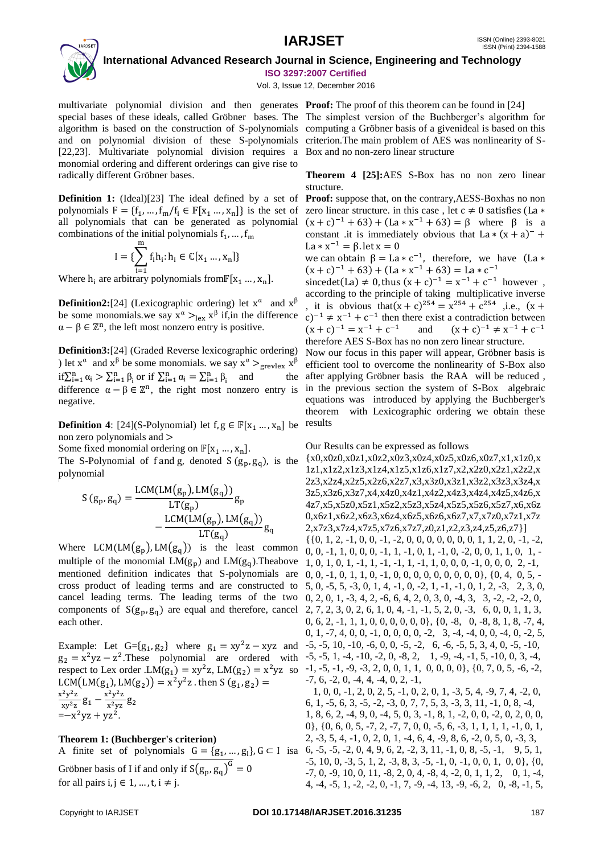# **IARJSET** ISSN (Online) 2393-8021



 **International Advanced Research Journal in Science, Engineering and Technology ISO 3297:2007 Certified**

Vol. 3, Issue 12, December 2016

multivariate polynomial division and then generates **Proof:** The proof of this theorem can be found in [24] special bases of these ideals, called Gröbner bases. The The simplest version of the Buchberger's algorithm for algorithm is based on the construction of S-polynomials computing a Gröbner basis of a givenideal is based on this and on polynomial division of these S-polynomials criterion. The main problem of AES was nonlinearity of S-[22,23]. Multivariate polynomial division requires a Box and no non-zero linear structure monomial ordering and different orderings can give rise to radically different Gröbner bases.

**Definition 1:** (Ideal)[23] The ideal defined by a set of polynomials  $F = \{f_1, ..., f_m / f_i \in \mathbb{F}[x_1 ..., x_n]\}$  is the set of all polynomials that can be generated as polynomial combinations of the initial polynomials  $f_1, ..., f_m$ 

$$
I = \{ \sum_{i=1}^{m} f_i h_i : h_i \in \mathbb{C}[x_1 \dots, x_n] \}
$$

Where  $h_i$  are arbitrary polynomials from  $\mathbb{F}[x_1 \dots, x_n]$ .

**Definition2:**[24] (Lexicographic ordering) let  $x^{\alpha}$  and  $x^{\beta}$ be some monomials.we say  $x^{\alpha} >_{\text{lex}} x^{\beta}$  if, in the difference  $\alpha - \beta \in \mathbb{Z}^n$ , the left most nonzero entry is positive.

**Definition3:**[24] (Graded Reverse lexicographic ordering) ) let  $x^{\alpha}$  and  $x^{\beta}$  be some monomials. we say  $x^{\alpha} >_{\text{grevlex}} x^{\beta}$  $\text{if } \sum_{i=1}^{n} \alpha_i > \sum_{i=1}^{n} \beta_i \text{ or if } \sum_{i=1}^{n} \alpha_i = \sum_{i=1}^{n} \beta_i \text{ and }$ difference  $\alpha - \beta \in \mathbb{Z}^n$ , the right most nonzero entry is negative.

**Definition 4**: [24](S-Polynomial) let  $f, g \in \mathbb{F}[x_1, ..., x_n]$  be non zero polynomials and >

Some fixed monomial ordering on  $\mathbb{F}[x_1 ... , x_n]$ .

The S-Polynomial of f and g, denoted  $S(g_n, g_q)$ , is the polynomial

$$
S(g_p, g_q) = \frac{LCM(LM(g_p), LM(g_q))}{LT(g_p)}g_p
$$

$$
-\frac{LCM(LM(g_p), LM(g_q))}{LT(g_q)}g_q
$$

Where  $LCM(LM(g_p), LM(g_q))$  is the least common multiple of the monomial  $LM(g_n)$  and  $LM(g_n)$ . Theabove mentioned definition indicates that S-polynomials are cross product of leading terms and are constructed to cancel leading terms. The leading terms of the two components of  $S(g_p, g_q)$  are equal and therefore, cancel each other.

Example: Let  $G = \{g_1, g_2\}$  where  $g_1 = xy^2z - xyz$  and  $g_2 = x^2yz - z^2$ . These polynomial are ordered with respect to Lex order .LM( $g_1$ ) =  $xy^2z$ , LM( $g_2$ ) =  $x^2yz$  so LCM(LM(g<sub>1</sub>), LM(g<sub>2</sub>)) =  $x^2y^2z$  . then S (g<sub>1</sub>, g<sub>2</sub>) =  $x^2y^2z$  $\frac{x^2y^2z}{xy^2z}g_1 - \frac{x^2y^2z}{x^2yz}$  $\frac{y}{x^2yz}g_2$  $=-x^2yz + yz^2$ .

# **Theorem 1: (Buchberger's criterion)**

A finite set of polynomials  $G = \{g_1, ..., g_l\}$ ,  $G \subset I$  is a Gröbner basis of I if and only if  $S(g_p, g_q)^G = 0$ for all pairs  $i, j \in 1, ..., t, i \neq j$ .

**Theorem 4 [25]:**AES S-Box has no non zero linear structure.

**Proof:** suppose that, on the contrary,AESS-Boxhas no non zero linear structure. in this case, let  $c \neq 0$  satisfies (La  $*$  $(x + c)^{-1} + 63$  +  $(La * x^{-1} + 63) = \beta$  where  $\beta$  is a constant .it is immediately obvious that  $La * (x + a)^{-}$ La  $* x^{-1} = \beta$ . let x = 0

we can obtain  $\beta = La * c^{-1}$ , therefore, we have (La  $*$  $(x + c)^{-1} + 63$  +  $(La * x^{-1} + 63) = La * c^{-1}$ 

sincedet(La)  $\neq$  0, thus  $(x + c)^{-1} = x^{-1} + c^{-1}$  however, according to the principle of taking multiplicative inverse , it is obvious that  $(x + c)^{254} = x^{254} + c^{254}$  , i.e.,  $(x + c)^{254} = x^{254} + c^{254}$  $(c)^{-1} \neq x^{-1} + c^{-1}$  then there exist a contradiction between  $(x + c)^{-1} = x^{-1} + c^{-1}$  and  $(x + c)^{-1} \neq x^{-1} + c^{-1}$ therefore AES S-Box has no non zero linear structure.

Now our focus in this paper will appear, Gröbner basis is efficient tool to overcome the nonlinearity of S-Box also after applying Gröbner basis the RAA will be reduced , in the previous section the system of S-Box algebraic equations was introduced by applying the Buchberger's theorem with Lexicographic ordering we obtain these results

## Our Results can be expressed as follows

{x0,x0z0,x0z1,x0z2,x0z3,x0z4,x0z5,x0z6,x0z7,x1,x1z0,x 1z1,x1z2,x1z3,x1z4,x1z5,x1z6,x1z7,x2,x2z0,x2z1,x2z2,x 2z3,x2z4,x2z5,x2z6,x2z7,x3,x3z0,x3z1,x3z2,x3z3,x3z4,x 3z5,x3z6,x3z7,x4,x4z0,x4z1,x4z2,x4z3,x4z4,x4z5,x4z6,x 4z7,x5,x5z0,x5z1,x5z2,x5z3,x5z4,x5z5,x5z6,x5z7,x6,x6z 0,x6z1,x6z2,x6z3,x6z4,x6z5,x6z6,x6z7,x7,x7z0,x7z1,x7z 2,x7z3,x7z4,x7z5,x7z6,x7z7,z0,z1,z2,z3,z4,z5,z6,z7}]  $\{ \{0, 1, 2, -1, 0, 0, -1, -2, 0, 0, 0, 0, 0, 0, 0, 1, 1, 2, 0, -1, -2, \ldots \}$  $0, 0, -1, 1, 0, 0, 0, -1, 1, -1, 0, 1, -1, 0, -2, 0, 0, 1, 1, 0, 1, -1$ 1, 0, 1, 0, 1, -1, 1, -1, -1, 1, -1, 1, 0, 0, 0, -1, 0, 0, 0, 2, -1, 0, 0, -1, 0, 1, 1, 0, -1, 0, 0, 0, 0, 0, 0, 0, 0, 0}, {0, 4, 0, 5, - 5, 0, -5, 5, -3, 0, 1, 4, -1, 0, -2, 1, -1, -1, 0, 1, 2, -3, 2, 3, 0, 0, 2, 0, 1, -3, 4, 2, -6, 6, 4, 2, 0, 3, 0, -4, 3, 3, -2, -2, -2, 0, 2, 7, 2, 3, 0, 2, 6, 1, 0, 4, -1, -1, 5, 2, 0, -3, 6, 0, 0, 1, 1, 3, 0, 6, 2, -1, 1, 1, 0, 0, 0, 0, 0, 0}, {0, -8, 0, -8, 8, 1, 8, -7, 4, 0, 1, -7, 4, 0, 0, -1, 0, 0, 0, 0, -2, 3, -4, -4, 0, 0, -4, 0, -2, 5, -5, -5, 10, -10, -6, 0, 0, -5, -2, 6, -6, -5, 5, 3, 4, 0, -5, -10,  $-5, -5, 1, -4, -10, -2, 0, -8, 2, 1, -9, -4, -1, 5, -10, 0, 3, -4,$ -1, -5, -1, -9, -3, 2, 0, 0, 1, 1, 0, 0, 0, 0}, {0, 7, 0, 5, -6, -2,  $-7, 6, -2, 0, -4, 4, -4, 0, 2, -1,$  1, 0, 0, -1, 2, 0, 2, 5, -1, 0, 2, 0, 1, -3, 5, 4, -9, 7, 4, -2, 0, 6, 1, -5, 6, 3, -5, -2, -3, 0, 7, 7, 5, 3, -3, 3, 11, -1, 0, 8, -4,

1, 8, 6, 2, -4, 9, 0, -4, 5, 0, 3, -1, 8, 1, -2, 0, 0, -2, 0, 2, 0, 0, 0}, {0, 6, 0, 5, -7, 2, -7, 7, 0, 0, -5, 6, -3, 1, 1, 1, 1, -1, 0, 1, 2, -3, 5, 4, -1, 0, 2, 0, 1, -4, 6, 4, -9, 8, 6, -2, 0, 5, 0, -3, 3, 6, -5, -5, -2, 0, 4, 9, 6, 2, -2, 3, 11, -1, 0, 8, -5, -1, 9, 5, 1,  $-5$ ,  $10$ ,  $0$ ,  $-3$ ,  $5$ ,  $1$ ,  $2$ ,  $-3$ ,  $8$ ,  $3$ ,  $-5$ ,  $-1$ ,  $0$ ,  $-1$ ,  $0$ ,  $0$ ,  $1$ ,  $0$ ,  $0$ },  $\{0$ ,  $-7, 0, -9, 10, 0, 11, -8, 2, 0, 4, -8, 4, -2, 0, 1, 1, 2, 0, 1, -4,$ 4, -4, -5, 1, -2, -2, 0, -1, 7, -9, -4, 13, -9, -6, 2, 0, -8, -1, 5,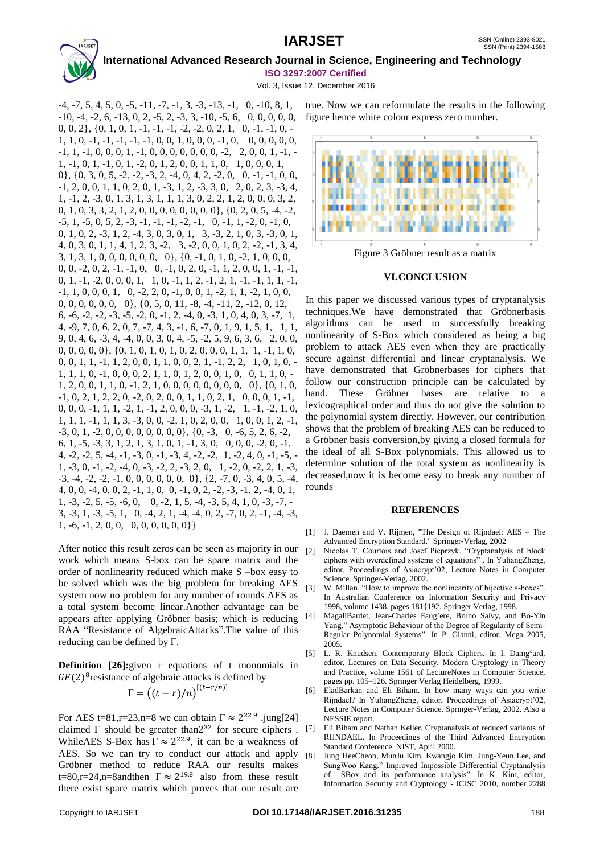Vol. 3, Issue 12, December 2016

 $-4, -7, 5, 4, 5, 0, -5, -11, -7, -1, 3, -3, -13, -1, 0, -10, 8, 1,$ -10, -4, -2, 6, -13, 0, 2, -5, 2, -3, 3, -10, -5, 6, 0, 0, 0, 0, 0, figure hence white colour express zero number. 0, 0, 2}, {0, 1, 0, 1, -1, -1, -1, -2, -2, 0, 2, 1, 0, -1, -1, 0, -  $1, 1, 0, -1, -1, -1, -1, -1, 0, 0, 1, 0, 0, 0, -1, 0, 0, 0, 0, 0, 0, 0,$  $-1, 1, -1, 0, 0, 0, 1, -1, 0, 0, 0, 0, 0, 0, 0, -2, 2, 0, 0, 1, -1, -1$ 1, -1, 0, 1, -1, 0, 1, -2, 0, 1, 2, 0, 0, 1, 1, 0, 1, 0, 0, 0, 1, 0}, {0, 3, 0, 5, -2, -2, -3, 2, -4, 0, 4, 2, -2, 0, 0, -1, -1, 0, 0, -1, 2, 0, 0, 1, 1, 0, 2, 0, 1, -3, 1, 2, -3, 3, 0, 2, 0, 2, 3, -3, 4, 1, -1, 2, -3, 0, 1, 3, 1, 3, 1, 1, 1, 3, 0, 2, 2, 1, 2, 0, 0, 0, 3, 2, 0, 1, 0, 3, 3, 2, 1, 2, 0, 0, 0, 0, 0, 0, 0, 0}, {0, 2, 0, 5, -4, -2,  $-5$ ,  $1$ ,  $-5$ ,  $0$ ,  $5$ ,  $2$ ,  $-3$ ,  $-1$ ,  $-1$ ,  $-1$ ,  $-2$ ,  $-1$ ,  $0$ ,  $-1$ ,  $1$ ,  $-2$ ,  $0$ ,  $-1$ ,  $0$ , 0, 1, 0, 2, -3, 1, 2, -4, 3, 0, 3, 0, 1, 3, -3, 2, 1, 0, 3, -3, 0, 1, 4, 0, 3, 0, 1, 1, 4, 1, 2, 3, -2, 3, -2, 0, 0, 1, 0, 2, -2, -1, 3, 4, 3, 1, 3, 1, 0, 0, 0, 0, 0, 0, 0}, {0, -1, 0, 1, 0, -2, 1, 0, 0, 0, 0, 0, -2, 0, 2, -1, -1, 0, 0, -1, 0, 2, 0, -1, 1, 2, 0, 0, 1, -1, -1, 0, 1, -1, -2, 0, 0, 0, 1, 1, 0, -1, 1, 2, -1, 2, 1, -1, -1, 1, 1, -1, -1, 1, 0, 0, 0, 1, 0, -2, 2, 0, -1, 0, 0, 1, -2, 1, 1, -2, 1, 0, 0, 0, 0, 0, 0, 0, 0, 0}, {0, 5, 0, 11, -8, -4, -11, 2, -12, 0, 12, 6, -6, -2, -2, -3, -5, -2, 0, -1, 2, -4, 0, -3, 1, 0, 4, 0, 3, -7, 1, 4, -9, 7, 0, 6, 2, 0, 7, -7, 4, 3, -1, 6, -7, 0, 1, 9, 1, 5, 1, 1, 1, 9, 0, 4, 6, -3, 4, -4, 0, 0, 3, 0, 4, -5, -2, 5, 9, 6, 3, 6, 2, 0, 0, 0, 0, 0, 0, 0}, {0, 1, 0, 1, 0, 1, 0, 2, 0, 0, 0, 1, 1, 1, -1, 1, 0, 0, 0, 1, 1, -1, 1, 2, 0, 0, 1, 1, 0, 0, 2, 1, -1, 2, 2, 1, 0, 1, 0, - 1, 1, 1, 0, -1, 0, 0, 0, 2, 1, 1, 0, 1, 2, 0, 0, 1, 0, 0, 1, 1, 0, - 1, 2, 0, 0, 1, 1, 0, -1, 2, 1, 0, 0, 0, 0, 0, 0, 0, 0, 0}, {0, 1, 0, -1, 0, 2, 1, 2, 2, 0, -2, 0, 2, 0, 0, 1, 1, 0, 2, 1, 0, 0, 0, 1, -1, 0, 0, 0, -1, 1, 1, -2, 1, -1, 2, 0, 0, 0, -3, 1, -2, 1, -1, -2, 1, 0, 1, 1, 1, -1, 1, 1, 3, -3, 0, 0, -2, 1, 0, 2, 0, 0, 1, 0, 0, 1, 2, -1, -3, 0, 1, -2, 0, 0, 0, 0, 0, 0, 0, 0}, {0, -3, 0, -6, 5, 2, 6, -2, 6, 1, -5, -3, 3, 1, 2, 1, 3, 1, 0, 1, -1, 3, 0, 0, 0, 0, -2, 0, -1, 4, -2, -2, 5, -4, -1, -3, 0, -1, -3, 4, -2, -2, 1, -2, 4, 0, -1, -5, - 1, -3, 0, -1, -2, -4, 0, -3, -2, 2, -3, 2, 0, 1, -2, 0, -2, 2, 1, -3,  $-3, -4, -2, -2, -1, 0, 0, 0, 0, 0, 0, 0, 0, 0, -7, 0, -3, 4, 0, 5, -4,$ 4, 0, 0, -4, 0, 0, 2, -1, 1, 0, 0, -1, 0, 2, -2, -3, -1, 2, -4, 0, 1, 1, -3, -2, 5, -5, -6, 0, 0, -2, 1, 5, -4, -3, 5, 4, 1, 0, -3, -7, - 3, -3, 1, -3, -5, 1, 0, -4, 2, 1, -4, -4, 0, 2, -7, 0, 2, -1, -4, -3, 1, -6, -1, 2, 0, 0, 0, 0, 0, 0, 0, 0}}

After notice this result zeros can be seen as majority in our  $_{[2]}$ work which means S-box can be spare matrix and the order of nonlinearity reduced which make S –box easy to be solved which was the big problem for breaking AES system now no problem for any number of rounds AES as a total system become linear.Another advantage can be appears after applying Gröbner basis; which is reducing RAA "Resistance of AlgebraicAttacks".The value of this reducing can be defined by Γ.

**Definition [26]:**given r equations of t monomials in  $GF(2)^{8}$ resistance of algebraic attacks is defined by

$$
\Gamma = ((t-r)/n)^{[(t-r/n)]}
$$

For AES t=81,r=23,n=8 we can obtain  $\Gamma \approx 2^{22.9}$  .jung[24] claimed  $\Gamma$  should be greater than  $2^{32}$  for secure ciphers. WhileAES S-Box has  $\Gamma \approx 2^{22.9}$ , it can be a weakness of AES. So we can try to conduct our attack and apply [8] Gröbner method to reduce RAA our results makes t=80,r=24,n=8andthen  $\Gamma \approx 2^{19.8}$  also from these result there exist spare matrix which proves that our result are

true. Now we can reformulate the results in the following



Figure 3 Gröbner result as a matrix

# **VI.CONCLUSION**

In this paper we discussed various types of cryptanalysis techniques.We have demonstrated that Gröbnerbasis algorithms can be used to successfully breaking nonlinearity of S-Box which considered as being a big problem to attack AES even when they are practically secure against differential and linear cryptanalysis. We have demonstrated that Gröbnerbases for ciphers that follow our construction principle can be calculated by hand. These Gröbner bases are relative to a lexicographical order and thus do not give the solution to the polynomial system directly. However, our contribution shows that the problem of breaking AES can be reduced to a Gröbner basis conversion,by giving a closed formula for the ideal of all S-Box polynomials. This allowed us to determine solution of the total system as nonlinearity is decreased,now it is become easy to break any number of rounds

## **REFERENCES**

- [1] J. Daemen and V. Rijmen, "The Design of Rijndael: AES The Advanced Encryption Standard." Springer-Verlag, 2002
- Nicolas T. Courtois and Josef Pieprzyk. "Cryptanalysis of block ciphers with overdefined systems of equations" . In YuliangZheng, editor, Proceedings of Asiacrypt'02, Lecture Notes in Computer Science. Springer-Verlag, 2002.
- [3] W. Millan. "How to improve the nonlinearity of bijective s-boxes". In Australian Conference on Information Security and Privacy 1998, volume 1438, pages 181{192. Springer Verlag, 1998.
- [4] MagaliBardet, Jean-Charles Faug`ere, Bruno Salvy, and Bo-Yin Yang." Asymptotic Behaviour of the Degree of Regularity of Semi-Regular Polynomial Systems". In P. Gianni, editor, Mega 2005, 2005.
- [5] L. R. Knudsen. Contemporary Block Ciphers. In I. Damg°ard, editor, Lectures on Data Security. Modern Cryptology in Theory and Practice, volume 1561 of LectureNotes in Computer Science, pages pp. 105–126. Springer Verlag Heidelberg, 1999.
- [6] EladBarkan and Eli Biham. In how many ways can you write Rijndael? In YuliangZheng, editor, Proceedings of Asiacrypt'02, Lecture Notes in Computer Science. Springer-Verlag, 2002. Also a NESSIE report.
- Eli Biham and Nathan Keller. Cryptanalysis of reduced variants of RIJNDAEL. In Proceedings of the Third Advanced Encryption Standard Conference. NIST, April 2000.
- Jung HeeCheon, MunJu Kim, Kwangjo Kim, Jung-Yeun Lee, and SungWoo Kang." Improved Impossible Differential Cryptanalysis of SBox and its performance analysis". In K. Kim, editor, Information Security and Cryptology - ICISC 2010, number 2288